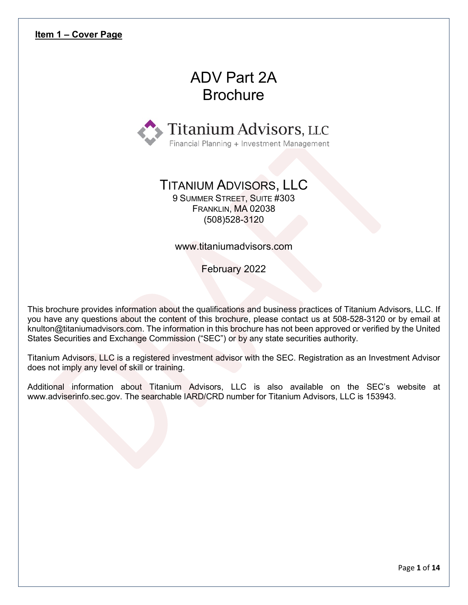# ADV Part 2A **Brochure**

<span id="page-0-0"></span>

## TITANIUM ADVISORS, LLC

9 SUMMER STREET, SUITE #303 FRANKLIN, MA 02038 (508)528-3120

www.titaniumadvisors.com

February 2022

This brochure provides information about the qualifications and business practices of Titanium Advisors, LLC. If you have any questions about the content of this brochure, please contact us at 508-528-3120 or by email at knulton@titaniumadvisors.com. The information in this brochure has not been approved or verified by the United States Securities and Exchange Commission ("SEC") or by any state securities authority.

Titanium Advisors, LLC is a registered investment advisor with the SEC. Registration as an Investment Advisor does not imply any level of skill or training.

Additional information about Titanium Advisors, LLC is also available on the SEC's website at www.adviserinfo.sec.gov. The searchable IARD/CRD number for Titanium Advisors, LLC is 153943.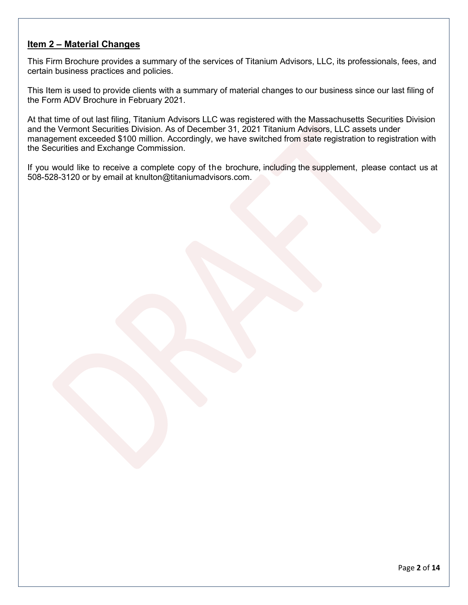## <span id="page-1-0"></span>**Item 2 – Material Changes**

This Firm Brochure provides a summary of the services of Titanium Advisors, LLC, its professionals, fees, and certain business practices and policies.

This Item is used to provide clients with a summary of material changes to our business since our last filing of the Form ADV Brochure in February 2021.

At that time of out last filing, Titanium Advisors LLC was registered with the Massachusetts Securities Division and the Vermont Securities Division. As of December 31, 2021 Titanium Advisors, LLC assets under management exceeded \$100 million. Accordingly, we have switched from state registration to registration with the Securities and Exchange Commission.

If you would like to receive a complete copy of the brochure, including the supplement, please contact us at 508-528-3120 or by email at knulton@titaniumadvisors.com.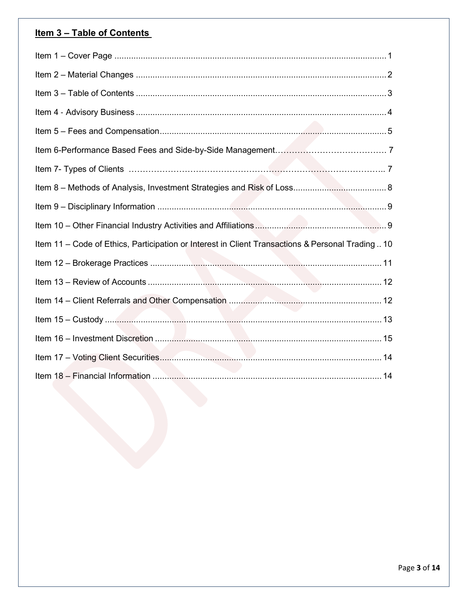## Item 3 - Table of Contents

| Item 11 - Code of Ethics, Participation or Interest in Client Transactions & Personal Trading  10 |  |
|---------------------------------------------------------------------------------------------------|--|
|                                                                                                   |  |
|                                                                                                   |  |
|                                                                                                   |  |
|                                                                                                   |  |
|                                                                                                   |  |
|                                                                                                   |  |
|                                                                                                   |  |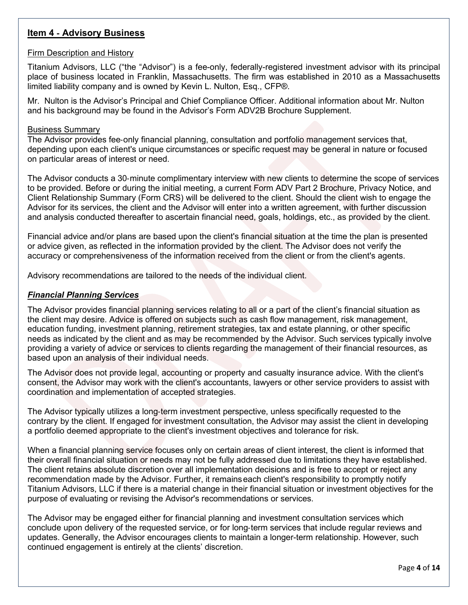## <span id="page-3-0"></span>**Item 4** ‐ **Advisory Business**

#### Firm Description and History

Titanium Advisors, LLC ("the "Advisor") is a fee-only, federally-registered investment advisor with its principal place of business located in Franklin, Massachusetts. The firm was established in 2010 as a Massachusetts limited liability company and is owned by Kevin L. Nulton, Esq., CFP®.

Mr. Nulton is the Advisor's Principal and Chief Compliance Officer. Additional information about Mr. Nulton and his background may be found in the Advisor's Form ADV2B Brochure Supplement.

#### Business Summary

The Advisor provides fee-only financial planning, consultation and portfolio management services that, depending upon each client's unique circumstances or specific request may be general in nature or focused on particular areas of interest or need.

The Advisor conducts a 30‐minute complimentary interview with new clients to determine the scope of services to be provided. Before or during the initial meeting, a current Form ADV Part 2 Brochure, Privacy Notice, and Client Relationship Summary (Form CRS) will be delivered to the client. Should the client wish to engage the Advisor for its services, the client and the Advisor will enter into a written agreement, with further discussion and analysis conducted thereafter to ascertain financial need, goals, holdings, etc., as provided by the client.

Financial advice and/or plans are based upon the client's financial situation at the time the plan is presented or advice given, as reflected in the information provided by the client. The Advisor does not verify the accuracy or comprehensiveness of the information received from the client or from the client's agents.

Advisory recommendations are tailored to the needs of the individual client.

### *Financial Planning Services*

The Advisor provides financial planning services relating to all or a part of the client's financial situation as the client may desire. Advice is offered on subjects such as cash flow management, risk management, education funding, investment planning, retirement strategies, tax and estate planning, or other specific needs as indicated by the client and as may be recommended by the Advisor. Such services typically involve providing a variety of advice or services to clients regarding the management of their financial resources, as based upon an analysis of their individual needs.

The Advisor does not provide legal, accounting or property and casualty insurance advice. With the client's consent, the Advisor may work with the client's accountants, lawyers or other service providers to assist with coordination and implementation of accepted strategies.

The Advisor typically utilizes a long-term investment perspective, unless specifically requested to the contrary by the client. If engaged for investment consultation, the Advisor may assist the client in developing a portfolio deemed appropriate to the client's investment objectives and tolerance for risk.

When a financial planning service focuses only on certain areas of client interest, the client is informed that their overall financial situation or needs may not be fully addressed due to limitations they have established. The client retains absolute discretion over all implementation decisions and is free to accept or reject any recommendation made by the Advisor. Further, it remainseach client's responsibility to promptly notify Titanium Advisors, LLC if there is a material change in their financial situation or investment objectives for the purpose of evaluating or revising the Advisor's recommendations or services.

The Advisor may be engaged either for financial planning and investment consultation services which conclude upon delivery of the requested service, or for long‐term services that include regular reviews and updates. Generally, the Advisor encourages clients to maintain a longer-term relationship. However, such continued engagement is entirely at the clients' discretion.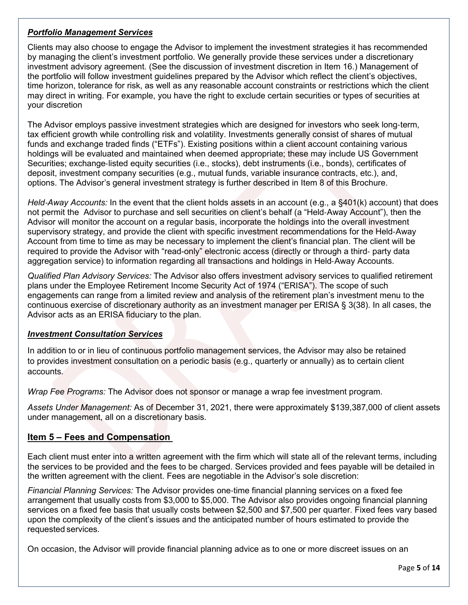## *Portfolio Management Services*

Clients may also choose to engage the Advisor to implement the investment strategies it has recommended by managing the client's investment portfolio. We generally provide these services under a discretionary investment advisory agreement. (See the discussion of investment discretion in Item 16.) Management of the portfolio will follow investment guidelines prepared by the Advisor which reflect the client's objectives, time horizon, tolerance for risk, as well as any reasonable account constraints or restrictions which the client may direct in writing. For example, you have the right to exclude certain securities or types of securities at your discretion

The Advisor employs passive investment strategies which are designed for investors who seek long‐term, tax efficient growth while controlling risk and volatility. Investments generally consist of shares of mutual funds and exchange traded finds ("ETFs"). Existing positions within a client account containing various holdings will be evaluated and maintained when deemed appropriate; these may include US Government Securities; exchange‐listed equity securities (i.e., stocks), debt instruments (i.e., bonds), certificates of deposit, investment company securities (e.g., mutual funds, variable insurance contracts, etc.), and, options. The Advisor's general investment strategy is further described in Item 8 of this Brochure.

*Held*‐*Away Accounts:* In the event that the client holds assets in an account (e.g., a §401(k) account) that does not permit the Advisor to purchase and sell securities on client's behalf (a "Held‐Away Account"), then the Advisor will monitor the account on a regular basis, incorporate the holdings into the overall investment supervisory strategy, and provide the client with specific investment recommendations for the Held‐Away Account from time to time as may be necessary to implement the client's financial plan. The client will be required to provide the Advisor with "read-only" electronic access (directly or through a third‐ party data aggregation service) to information regarding all transactions and holdings in Held‐Away Accounts.

*Qualified Plan Advisory Services:* The Advisor also offers investment advisory services to qualified retirement plans under the Employee Retirement Income Security Act of 1974 ("ERISA"). The scope of such engagements can range from a limited review and analysis of the retirement plan's investment menu to the continuous exercise of discretionary authority as an investment manager per ERISA § 3(38). In all cases, the Advisor acts as an ERISA fiduciary to the plan.

### *Investment Consultation Services*

In addition to or in lieu of continuous portfolio management services, the Advisor may also be retained to provides investment consultation on a periodic basis (e.g., quarterly or annually) as to certain client accounts.

*Wrap Fee Programs:* The Advisor does not sponsor or manage a wrap fee investment program.

*Assets Under Management:* As of December 31, 2021, there were approximately \$139,387,000 of client assets under management, all on a discretionary basis.

## **Item 5 – Fees and Compensation**

Each client must enter into a written agreement with the firm which will state all of the relevant terms, including the services to be provided and the fees to be charged. Services provided and fees payable will be detailed in the written agreement with the client. Fees are negotiable in the Advisor's sole discretion:

*Financial Planning Services:* The Advisor provides one‐time financial planning services on a fixed fee arrangement that usually costs from \$3,000 to \$5,000. The Advisor also provides ongoing financial planning services on a fixed fee basis that usually costs between \$2,500 and \$7,500 per quarter. Fixed fees vary based upon the complexity of the client's issues and the anticipated number of hours estimated to provide the requested services.

On occasion, the Advisor will provide financial planning advice as to one or more discreet issues on an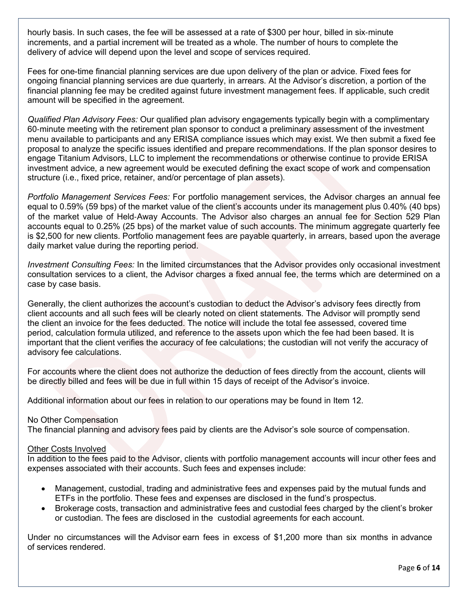hourly basis. In such cases, the fee will be assessed at a rate of \$300 per hour, billed in six‐minute increments, and a partial increment will be treated as a whole. The number of hours to complete the delivery of advice will depend upon the level and scope of services required.

Fees for one-time financial planning services are due upon delivery of the plan or advice. Fixed fees for ongoing financial planning services are due quarterly, in arrears. At the Advisor's discretion, a portion of the financial planning fee may be credited against future investment management fees. If applicable, such credit amount will be specified in the agreement.

*Qualified Plan Advisory Fees:* Our qualified plan advisory engagements typically begin with a complimentary 60‐minute meeting with the retirement plan sponsor to conduct a preliminary assessment of the investment menu available to participants and any ERISA compliance issues which may exist. We then submit a fixed fee proposal to analyze the specific issues identified and prepare recommendations. If the plan sponsor desires to engage Titanium Advisors, LLC to implement the recommendations or otherwise continue to provide ERISA investment advice, a new agreement would be executed defining the exact scope of work and compensation structure (i.e., fixed price, retainer, and/or percentage of plan assets).

*Portfolio Management Services Fees:* For portfolio management services, the Advisor charges an annual fee equal to 0.59% (59 bps) of the market value of the client's accounts under its management plus 0.40% (40 bps) of the market value of Held‐Away Accounts. The Advisor also charges an annual fee for Section 529 Plan accounts equal to 0.25% (25 bps) of the market value of such accounts. The minimum aggregate quarterly fee is \$2,500 for new clients. Portfolio management fees are payable quarterly, in arrears, based upon the average daily market value during the reporting period.

*Investment Consulting Fees:* In the limited circumstances that the Advisor provides only occasional investment consultation services to a client, the Advisor charges a fixed annual fee, the terms which are determined on a case by case basis.

Generally, the client authorizes the account's custodian to deduct the Advisor's advisory fees directly from client accounts and all such fees will be clearly noted on client statements. The Advisor will promptly send the client an invoice for the fees deducted. The notice will include the total fee assessed, covered time period, calculation formula utilized, and reference to the assets upon which the fee had been based. It is important that the client verifies the accuracy of fee calculations; the custodian will not verify the accuracy of advisory fee calculations.

For accounts where the client does not authorize the deduction of fees directly from the account, clients will be directly billed and fees will be due in full within 15 days of receipt of the Advisor's invoice.

Additional information about our fees in relation to our operations may be found in Item 12.

#### No Other Compensation

The financial planning and advisory fees paid by clients are the Advisor's sole source of compensation.

#### Other Costs Involved

In addition to the fees paid to the Advisor, clients with portfolio management accounts will incur other fees and expenses associated with their accounts. Such fees and expenses include:

- Management, custodial, trading and administrative fees and expenses paid by the mutual funds and ETFs in the portfolio. These fees and expenses are disclosed in the fund's prospectus.
- Brokerage costs, transaction and administrative fees and custodial fees charged by the client's broker or custodian. The fees are disclosed in the custodial agreements for each account.

Under no circumstances will the Advisor earn fees in excess of \$1,200 more than six months in advance of services rendered.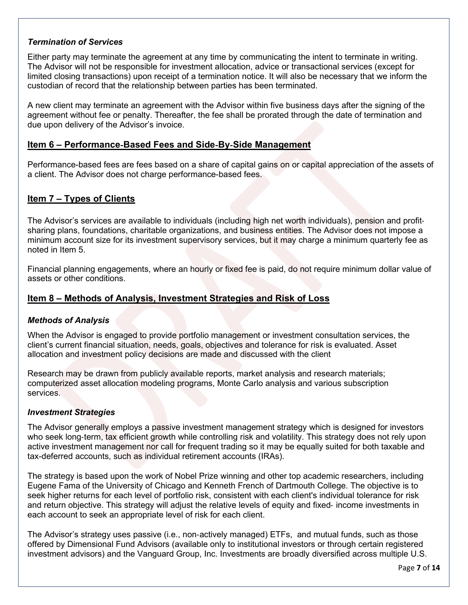### *Termination of Services*

Either party may terminate the agreement at any time by communicating the intent to terminate in writing. The Advisor will not be responsible for investment allocation, advice or transactional services (except for limited closing transactions) upon receipt of a termination notice. It will also be necessary that we inform the custodian of record that the relationship between parties has been terminated.

A new client may terminate an agreement with the Advisor within five business days after the signing of the agreement without fee or penalty. Thereafter, the fee shall be prorated through the date of termination and due upon delivery of the Advisor's invoice.

### **Item 6 – Performance**‐**Based Fees and Side**‐**By**‐**Side Management**

Performance-based fees are fees based on a share of capital gains on or capital appreciation of the assets of a client. The Advisor does not charge performance-based fees.

## **Item 7 – Types of Clients**

The Advisor's services are available to individuals (including high net worth individuals), pension and profit‐ sharing plans, foundations, charitable organizations, and business entities. The Advisor does not impose a minimum account size for its investment supervisory services, but it may charge a minimum quarterly fee as noted in Item 5.

Financial planning engagements, where an hourly or fixed fee is paid, do not require minimum dollar value of assets or other conditions.

## <span id="page-6-0"></span>**Item 8 – Methods of Analysis, Investment Strategies and Risk of Loss**

### *Methods of Analysis*

When the Advisor is engaged to provide portfolio management or investment consultation services, the client's current financial situation, needs, goals, objectives and tolerance for risk is evaluated. Asset allocation and investment policy decisions are made and discussed with the client

Research may be drawn from publicly available reports, market analysis and research materials; computerized asset allocation modeling programs, Monte Carlo analysis and various subscription services.

#### *Investment Strategies*

The Advisor generally employs a passive investment management strategy which is designed for investors who seek long-term, tax efficient growth while controlling risk and volatility. This strategy does not rely upon active investment management nor call for frequent trading so it may be equally suited for both taxable and tax-deferred accounts, such as individual retirement accounts (IRAs).

The strategy is based upon the work of Nobel Prize winning and other top academic researchers, including Eugene Fama of the University of Chicago and Kenneth French of Dartmouth College. The objective is to seek higher returns for each level of portfolio risk, consistent with each client's individual tolerance for risk and return objective. This strategy will adjust the relative levels of equity and fixed‐ income investments in each account to seek an appropriate level of risk for each client.

The Advisor's strategy uses passive (i.e., non‐actively managed) ETFs, and mutual funds, such as those offered by Dimensional Fund Advisors (available only to institutional investors or through certain registered investment advisors) and the Vanguard Group, Inc. Investments are broadly diversified across multiple U.S.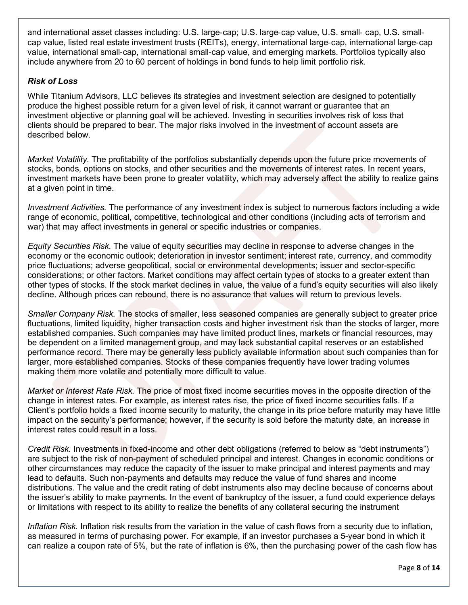and international asset classes including: U.S. large‐cap; U.S. large‐cap value, U.S. small‐ cap, U.S. small‐ cap value, listed real estate investment trusts (REITs), energy, international large‐cap, international large‐cap value, international small‐cap, international small‐cap value, and emerging markets. Portfolios typically also include anywhere from 20 to 60 percent of holdings in bond funds to help limit portfolio risk.

## *Risk of Loss*

While Titanium Advisors, LLC believes its strategies and investment selection are designed to potentially produce the highest possible return for a given level of risk, it cannot warrant or guarantee that an investment objective or planning goal will be achieved. Investing in securities involves risk of loss that clients should be prepared to bear. The major risks involved in the investment of account assets are described below.

*Market Volatility.* The profitability of the portfolios substantially depends upon the future price movements of stocks, bonds, options on stocks, and other securities and the movements of interest rates. In recent years, investment markets have been prone to greater volatility, which may adversely affect the ability to realize gains at a given point in time.

*Investment Activities.* The performance of any investment index is subject to numerous factors including a wide range of economic, political, competitive, technological and other conditions (including acts of terrorism and war) that may affect investments in general or specific industries or companies.

*Equity Securities Risk.* The value of equity securities may decline in response to adverse changes in the economy or the economic outlook; deterioration in investor sentiment; interest rate, currency, and commodity price fluctuations; adverse geopolitical, social or environmental developments; issuer and sector-specific considerations; or other factors. Market conditions may affect certain types of stocks to a greater extent than other types of stocks. If the stock market declines in value, the value of a fund's equity securities will also likely decline. Although prices can rebound, there is no assurance that values will return to previous levels.

*Smaller Company Risk.* The stocks of smaller, less seasoned companies are generally subject to greater price fluctuations, limited liquidity, higher transaction costs and higher investment risk than the stocks of larger, more established companies. Such companies may have limited product lines, markets or financial resources, may be dependent on a limited management group, and may lack substantial capital reserves or an established performance record. There may be generally less publicly available information about such companies than for larger, more established companies. Stocks of these companies frequently have lower trading volumes making them more volatile and potentially more difficult to value.

*Market or Interest Rate Risk.* The price of most fixed income securities moves in the opposite direction of the change in interest rates. For example, as interest rates rise, the price of fixed income securities falls. If a Client's portfolio holds a fixed income security to maturity, the change in its price before maturity may have little impact on the security's performance; however, if the security is sold before the maturity date, an increase in interest rates could result in a loss.

*Credit Risk.* Investments in fixed-income and other debt obligations (referred to below as "debt instruments") are subject to the risk of non-payment of scheduled principal and interest. Changes in economic conditions or other circumstances may reduce the capacity of the issuer to make principal and interest payments and may lead to defaults. Such non-payments and defaults may reduce the value of fund shares and income distributions. The value and the credit rating of debt instruments also may decline because of concerns about the issuer's ability to make payments. In the event of bankruptcy of the issuer, a fund could experience delays or limitations with respect to its ability to realize the benefits of any collateral securing the instrument

*Inflation Risk.* Inflation risk results from the variation in the value of cash flows from a security due to inflation, as measured in terms of purchasing power. For example, if an investor purchases a 5-year bond in which it can realize a coupon rate of 5%, but the rate of inflation is 6%, then the purchasing power of the cash flow has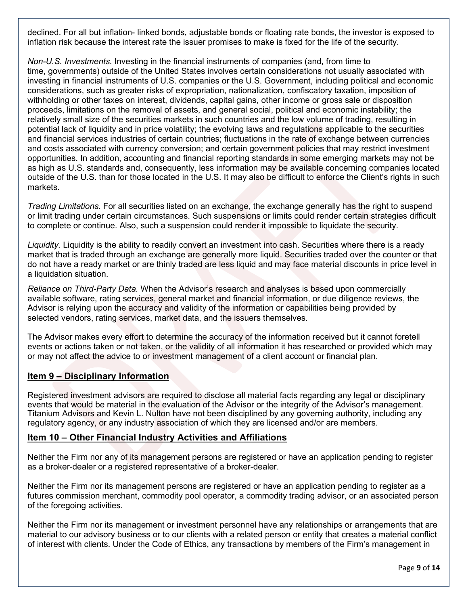declined. For all but inflation- linked bonds, adjustable bonds or floating rate bonds, the investor is exposed to inflation risk because the interest rate the issuer promises to make is fixed for the life of the security.

*Non-U.S. Investments.* Investing in the financial instruments of companies (and, from time to time, governments) outside of the United States involves certain considerations not usually associated with investing in financial instruments of U.S. companies or the U.S. Government, including political and economic considerations, such as greater risks of expropriation, nationalization, confiscatory taxation, imposition of withholding or other taxes on interest, dividends, capital gains, other income or gross sale or disposition proceeds, limitations on the removal of assets, and general social, political and economic instability; the relatively small size of the securities markets in such countries and the low volume of trading, resulting in potential lack of liquidity and in price volatility; the evolving laws and regulations applicable to the securities and financial services industries of certain countries; fluctuations in the rate of exchange between currencies and costs associated with currency conversion; and certain government policies that may restrict investment opportunities. In addition, accounting and financial reporting standards in some emerging markets may not be as high as U.S. standards and, consequently, less information may be available concerning companies located outside of the U.S. than for those located in the U.S. It may also be difficult to enforce the Client's rights in such markets.

*Trading Limitations.* For all securities listed on an exchange, the exchange generally has the right to suspend or limit trading under certain circumstances. Such suspensions or limits could render certain strategies difficult to complete or continue. Also, such a suspension could render it impossible to liquidate the security.

*Liquidity.* Liquidity is the ability to readily convert an investment into cash. Securities where there is a ready market that is traded through an exchange are generally more liquid. Securities traded over the counter or that do not have a ready market or are thinly traded are less liquid and may face material discounts in price level in a liquidation situation.

*Reliance on Third-Party Data.* When the Advisor's research and analyses is based upon commercially available software, rating services, general market and financial information, or due diligence reviews, the Advisor is relying upon the accuracy and validity of the information or capabilities being provided by selected vendors, rating services, market data, and the issuers themselves.

The Advisor makes every effort to determine the accuracy of the information received but it cannot foretell events or actions taken or not taken, or the validity of all information it has researched or provided which may or may not affect the advice to or investment management of a client account or financial plan.

## <span id="page-8-0"></span>**Item 9 – Disciplinary Information**

<span id="page-8-1"></span>Registered investment advisors are required to disclose all material facts regarding any legal or disciplinary events that would be material in the evaluation of the Advisor or the integrity of the Advisor's management. Titanium Advisors and Kevin L. Nulton have not been disciplined by any governing authority, including any regulatory agency, or any industry association of which they are licensed and/or are members.

### **Item 10 – Other Financial Industry Activities and Affiliations**

Neither the Firm nor any of its management persons are registered or have an application pending to register as a broker-dealer or a registered representative of a broker-dealer.

Neither the Firm nor its management persons are registered or have an application pending to register as a futures commission merchant, commodity pool operator, a commodity trading advisor, or an associated person of the foregoing activities.

Neither the Firm nor its management or investment personnel have any relationships or arrangements that are material to our advisory business or to our clients with a related person or entity that creates a material conflict of interest with clients. Under the Code of Ethics, any transactions by members of the Firm's management in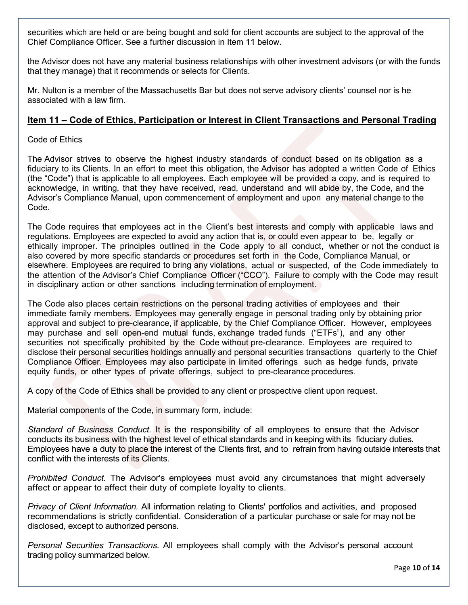securities which are held or are being bought and sold for client accounts are subject to the approval of the Chief Compliance Officer. See a further discussion in Item 11 below.

the Advisor does not have any material business relationships with other investment advisors (or with the funds that they manage) that it recommends or selects for Clients.

Mr. Nulton is a member of the Massachusetts Bar but does not serve advisory clients' counsel nor is he associated with a law firm.

## <span id="page-9-0"></span>**Item 11 – Code of Ethics, Participation or Interest in Client Transactions and Personal Trading**

Code of Ethics

The Advisor strives to observe the highest industry standards of conduct based on its obligation as a fiduciary to its Clients. In an effort to meet this obligation, the Advisor has adopted a written Code of Ethics (the "Code") that is applicable to all employees. Each employee will be provided a copy, and is required to acknowledge, in writing, that they have received, read, understand and will abide by, the Code, and the Advisor's Compliance Manual, upon commencement of employment and upon any material change to the Code.

The Code requires that employees act in the Client's best interests and comply with applicable laws and regulations. Employees are expected to avoid any action that is, or could even appear to be, legally or ethically improper. The principles outlined in the Code apply to all conduct, whether or not the conduct is also covered by more specific standards or procedures set forth in the Code, Compliance Manual, or elsewhere. Employees are required to bring any violations, actual or suspected, of the Code immediately to the attention of the Advisor's Chief Compliance Officer ("CCO"). Failure to comply with the Code may result in disciplinary action or other sanctions including termination of employment.

The Code also places certain restrictions on the personal trading activities of employees and their immediate family members. Employees may generally engage in personal trading only by obtaining prior approval and subject to pre-clearance, if applicable, by the Chief Compliance Officer. However, employees may purchase and sell open-end mutual funds, exchange traded funds ("ETFs"), and any other securities not specifically prohibited by the Code without pre-clearance. Employees are required to disclose their personal securities holdings annually and personal securities transactions quarterly to the Chief Compliance Officer. Employees may also participate in limited offerings such as hedge funds, private equity funds, or other types of private offerings, subject to pre-clearance procedures.

A copy of the Code of Ethics shall be provided to any client or prospective client upon request.

Material components of the Code, in summary form, include:

*Standard of Business Conduct.* It is the responsibility of all employees to ensure that the Advisor conducts its business with the highest level of ethical standards and in keeping with its fiduciary duties. Employees have a duty to place the interest of the Clients first, and to refrain from having outside interests that conflict with the interests of its Clients.

*Prohibited Conduct.* The Advisor's employees must avoid any circumstances that might adversely affect or appear to affect their duty of complete loyalty to clients.

*Privacy of Client Information.* All information relating to Clients' portfolios and activities, and proposed recommendations is strictly confidential. Consideration of a particular purchase or sale for may not be disclosed, except to authorized persons.

*Personal Securities Transactions.* All employees shall comply with the Advisor's personal account trading policy summarized below.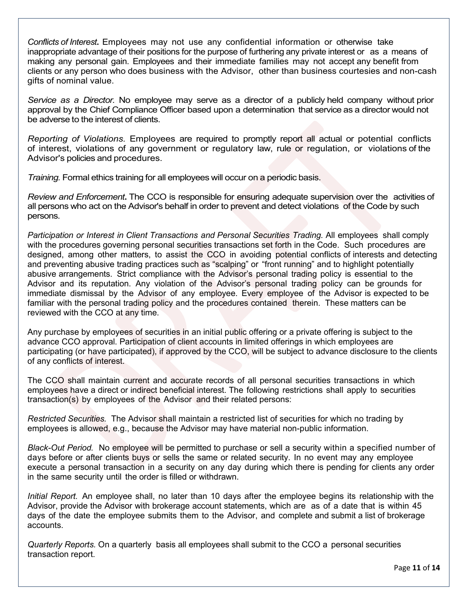*Conflicts of Interest***.** Employees may not use any confidential information or otherwise take inappropriate advantage of their positions for the purpose of furthering any private interest or as a means of making any personal gain. Employees and their immediate families may not accept any benefit from clients or any person who does business with the Advisor, other than business courtesies and non-cash gifts of nominal value.

*Service as a Director.* No employee may serve as a director of a publicly held company without prior approval by the Chief Compliance Officer based upon a determination that service as a director would not be adverse to the interest of clients.

*Reporting of Violations.* Employees are required to promptly report all actual or potential conflicts of interest, violations of any government or regulatory law, rule or regulation, or violations of the Advisor's policies and procedures.

*Training.* Formal ethics training for all employees will occur on a periodic basis.

*Review and Enforcement***.** The CCO is responsible for ensuring adequate supervision over the activities of all persons who act on the Advisor's behalf in order to prevent and detect violations of the Code by such persons.

*Participation or Interest in Client Transactions and Personal Securities Trading.* All employees shall comply with the procedures governing personal securities transactions set forth in the Code. Such procedures are designed, among other matters, to assist the CCO in avoiding potential conflicts of interests and detecting and preventing abusive trading practices such as "scalping" or "front running" and to highlight potentially abusive arrangements. Strict compliance with the Advisor's personal trading policy is essential to the Advisor and its reputation. Any violation of the Advisor's personal trading policy can be grounds for immediate dismissal by the Advisor of any employee. Every employee of the Advisor is expected to be familiar with the personal trading policy and the procedures contained therein. These matters can be reviewed with the CCO at any time.

Any purchase by employees of securities in an initial public offering or a private offering is subject to the advance CCO approval. Participation of client accounts in limited offerings in which employees are participating (or have participated), if approved by the CCO, will be subject to advance disclosure to the clients of any conflicts of interest.

The CCO shall maintain current and accurate records of all personal securities transactions in which employees have a direct or indirect beneficial interest. The following restrictions shall apply to securities transaction(s) by employees of the Advisor and their related persons:

*Restricted Securities.* The Advisor shall maintain a restricted list of securities for which no trading by employees is allowed, e.g., because the Advisor may have material non-public information.

*Black-Out Period.* No employee will be permitted to purchase or sell a security within a specified number of days before or after clients buys or sells the same or related security. In no event may any employee execute a personal transaction in a security on any day during which there is pending for clients any order in the same security until the order is filled or withdrawn.

*Initial Report.* An employee shall, no later than 10 days after the employee begins its relationship with the Advisor, provide the Advisor with brokerage account statements, which are as of a date that is within 45 days of the date the employee submits them to the Advisor, and complete and submit a list of brokerage accounts.

*Quarterly Reports.* On a quarterly basis all employees shall submit to the CCO a personal securities transaction report.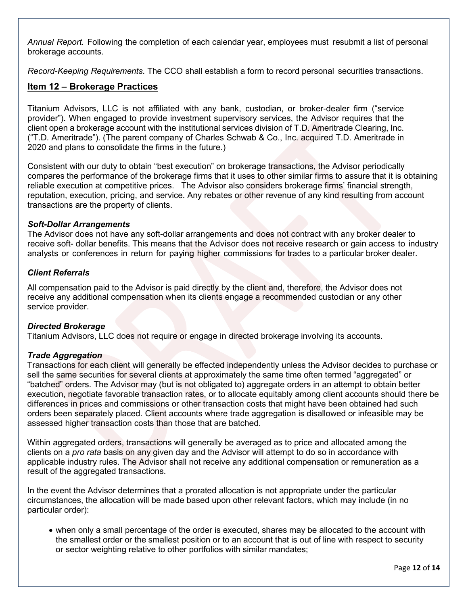*Annual Report.* Following the completion of each calendar year, employees must resubmit a list of personal brokerage accounts.

*Record-Keeping Requirements*. The CCO shall establish a form to record personal securities transactions.

## **Item 12 – Brokerage Practices**

Titanium Advisors, LLC is not affiliated with any bank, custodian, or broker‐dealer firm ("service provider"). When engaged to provide investment supervisory services, the Advisor requires that the client open a brokerage account with the institutional services division of T.D. Ameritrade Clearing, Inc. ("T.D. Ameritrade"). (The parent company of Charles Schwab & Co., Inc. acquired T.D. Ameritrade in 2020 and plans to consolidate the firms in the future.)

Consistent with our duty to obtain "best execution" on brokerage transactions, the Advisor periodically compares the performance of the brokerage firms that it uses to other similar firms to assure that it is obtaining reliable execution at competitive prices. The Advisor also considers brokerage firms' financial strength, reputation, execution, pricing, and service. Any rebates or other revenue of any kind resulting from account transactions are the property of clients.

#### *Soft-Dollar Arrangements*

The Advisor does not have any soft-dollar arrangements and does not contract with any broker dealer to receive soft- dollar benefits. This means that the Advisor does not receive research or gain access to industry analysts or conferences in return for paying higher commissions for trades to a particular broker dealer.

#### *Client Referrals*

All compensation paid to the Advisor is paid directly by the client and, therefore, the Advisor does not receive any additional compensation when its clients engage a recommended custodian or any other service provider.

#### *Directed Brokerage*

Titanium Advisors, LLC does not require or engage in directed brokerage involving its accounts.

#### *Trade Aggregation*

Transactions for each client will generally be effected independently unless the Advisor decides to purchase or sell the same securities for several clients at approximately the same time often termed "aggregated" or "batched" orders. The Advisor may (but is not obligated to) aggregate orders in an attempt to obtain better execution, negotiate favorable transaction rates, or to allocate equitably among client accounts should there be differences in prices and commissions or other transaction costs that might have been obtained had such orders been separately placed. Client accounts where trade aggregation is disallowed or infeasible may be assessed higher transaction costs than those that are batched.

Within aggregated orders, transactions will generally be averaged as to price and allocated among the clients on a *pro rata* basis on any given day and the Advisor will attempt to do so in accordance with applicable industry rules. The Advisor shall not receive any additional compensation or remuneration as a result of the aggregated transactions.

In the event the Advisor determines that a prorated allocation is not appropriate under the particular circumstances, the allocation will be made based upon other relevant factors, which may include (in no particular order):

• when only a small percentage of the order is executed, shares may be allocated to the account with the smallest order or the smallest position or to an account that is out of line with respect to security or sector weighting relative to other portfolios with similar mandates;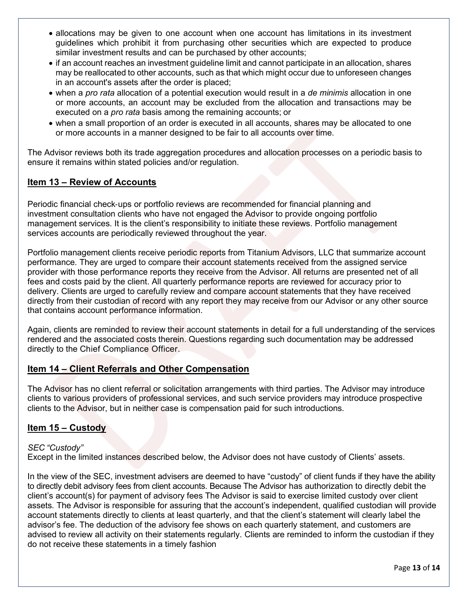- allocations may be given to one account when one account has limitations in its investment guidelines which prohibit it from purchasing other securities which are expected to produce similar investment results and can be purchased by other accounts;
- if an account reaches an investment guideline limit and cannot participate in an allocation, shares may be reallocated to other accounts, such as that which might occur due to unforeseen changes in an account's assets after the order is placed;
- when a *pro rata* allocation of a potential execution would result in a *de minimis* allocation in one or more accounts, an account may be excluded from the allocation and transactions may be executed on a *pro rata* basis among the remaining accounts; or
- when a small proportion of an order is executed in all accounts, shares may be allocated to one or more accounts in a manner designed to be fair to all accounts over time.

The Advisor reviews both its trade aggregation procedures and allocation processes on a periodic basis to ensure it remains within stated policies and/or regulation.

## <span id="page-12-0"></span>**Item 13 – Review of Accounts**

Periodic financial check‐ups or portfolio reviews are recommended for financial planning and investment consultation clients who have not engaged the Advisor to provide ongoing portfolio management services. It is the client's responsibility to initiate these reviews. Portfolio management services accounts are periodically reviewed throughout the year.

Portfolio management clients receive periodic reports from Titanium Advisors, LLC that summarize account performance. They are urged to compare their account statements received from the assigned service provider with those performance reports they receive from the Advisor. All returns are presented net of all fees and costs paid by the client. All quarterly performance reports are reviewed for accuracy prior to delivery. Clients are urged to carefully review and compare account statements that they have received directly from their custodian of record with any report they may receive from our Advisor or any other source that contains account performance information.

Again, clients are reminded to review their account statements in detail for a full understanding of the services rendered and the associated costs therein. Questions regarding such documentation may be addressed directly to the Chief Compliance Officer.

## <span id="page-12-1"></span>**Item 14 – Client Referrals and Other Compensation**

The Advisor has no client referral or solicitation arrangements with third parties. The Advisor may introduce clients to various providers of professional services, and such service providers may introduce prospective clients to the Advisor, but in neither case is compensation paid for such introductions.

## <span id="page-12-2"></span>**Item 15 – Custody**

### *SEC "Custody"*

Except in the limited instances described below, the Advisor does not have custody of Clients' assets.

In the view of the SEC, investment advisers are deemed to have "custody" of client funds if they have the ability to directly debit advisory fees from client accounts. Because The Advisor has authorization to directly debit the client's account(s) for payment of advisory fees The Advisor is said to exercise limited custody over client assets. The Advisor is responsible for assuring that the account's independent, qualified custodian will provide account statements directly to clients at least quarterly, and that the client's statement will clearly label the advisor's fee. The deduction of the advisory fee shows on each quarterly statement, and customers are advised to review all activity on their statements regularly. Clients are reminded to inform the custodian if they do not receive these statements in a timely fashion